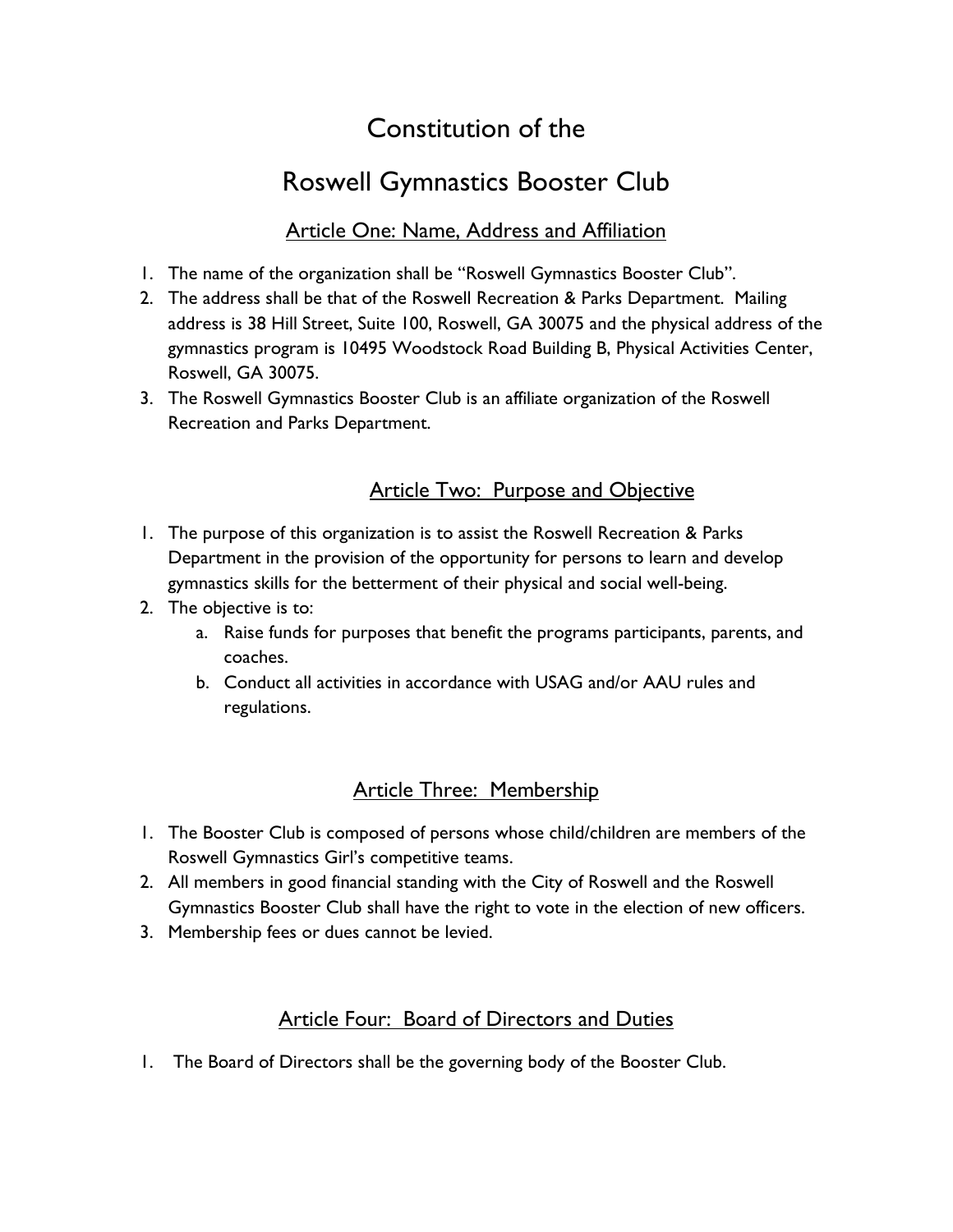# Constitution of the

# Roswell Gymnastics Booster Club

#### Article One: Name, Address and Affiliation

- 1. The name of the organization shall be "Roswell Gymnastics Booster Club".
- 2. The address shall be that of the Roswell Recreation & Parks Department. Mailing address is 38 Hill Street, Suite 100, Roswell, GA 30075 and the physical address of the gymnastics program is 10495 Woodstock Road Building B, Physical Activities Center, Roswell, GA 30075.
- 3. The Roswell Gymnastics Booster Club is an affiliate organization of the Roswell Recreation and Parks Department.

## Article Two: Purpose and Objective

- 1. The purpose of this organization is to assist the Roswell Recreation & Parks Department in the provision of the opportunity for persons to learn and develop gymnastics skills for the betterment of their physical and social well-being.
- 2. The objective is to:
	- a. Raise funds for purposes that benefit the programs participants, parents, and coaches.
	- b. Conduct all activities in accordance with USAG and/or AAU rules and regulations.

## Article Three: Membership

- 1. The Booster Club is composed of persons whose child/children are members of the Roswell Gymnastics Girl's competitive teams.
- 2. All members in good financial standing with the City of Roswell and the Roswell Gymnastics Booster Club shall have the right to vote in the election of new officers.
- 3. Membership fees or dues cannot be levied.

## Article Four: Board of Directors and Duties

1. The Board of Directors shall be the governing body of the Booster Club.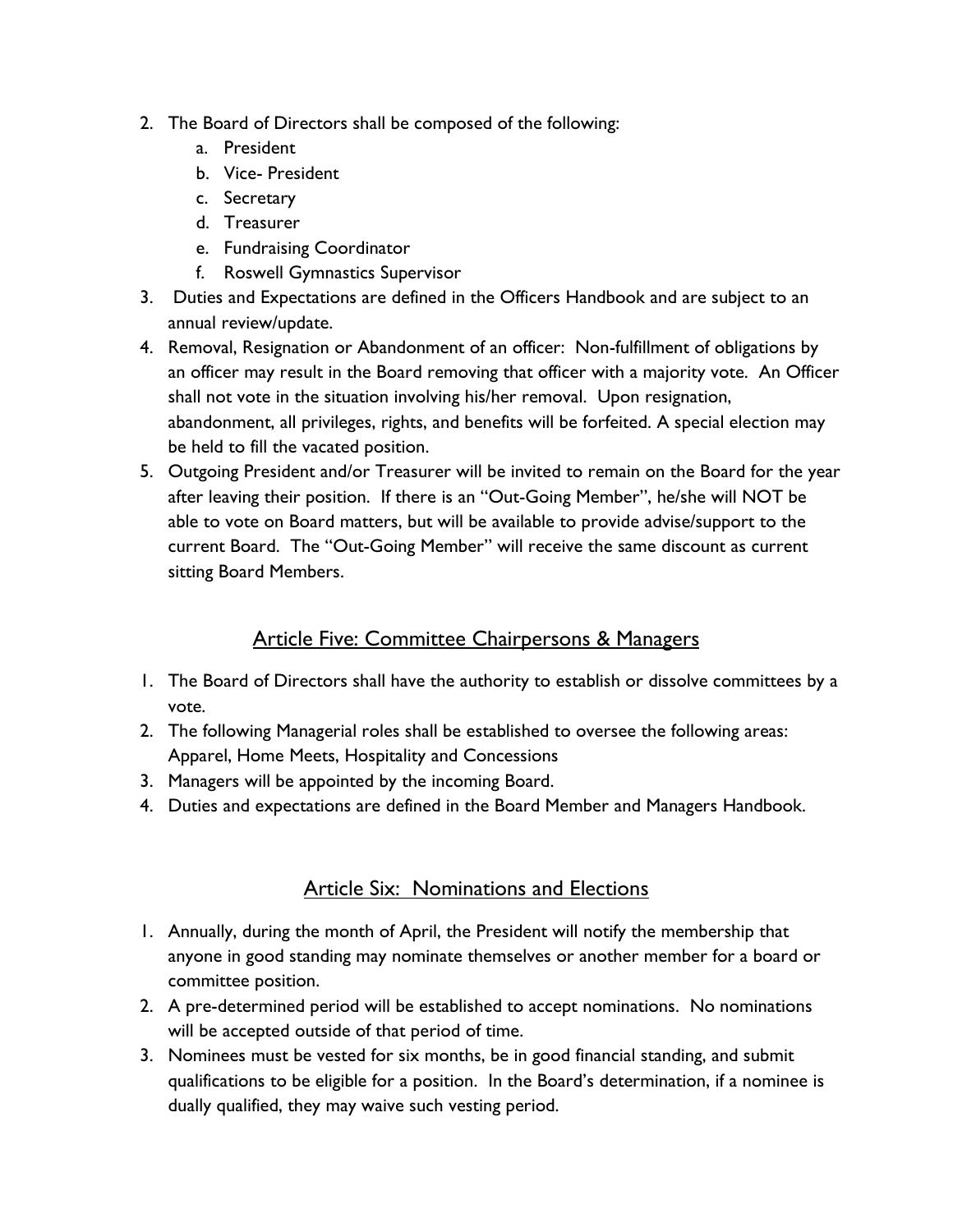- 2. The Board of Directors shall be composed of the following:
	- a. President
	- b. Vice- President
	- c. Secretary
	- d. Treasurer
	- e. Fundraising Coordinator
	- f. Roswell Gymnastics Supervisor
- 3. Duties and Expectations are defined in the Officers Handbook and are subject to an annual review/update.
- 4. Removal, Resignation or Abandonment of an officer: Non-fulfillment of obligations by an officer may result in the Board removing that officer with a majority vote. An Officer shall not vote in the situation involving his/her removal. Upon resignation, abandonment, all privileges, rights, and benefits will be forfeited. A special election may be held to fill the vacated position.
- 5. Outgoing President and/or Treasurer will be invited to remain on the Board for the year after leaving their position. If there is an "Out-Going Member", he/she will NOT be able to vote on Board matters, but will be available to provide advise/support to the current Board. The "Out-Going Member" will receive the same discount as current sitting Board Members.

### Article Five: Committee Chairpersons & Managers

- 1. The Board of Directors shall have the authority to establish or dissolve committees by a vote.
- 2. The following Managerial roles shall be established to oversee the following areas: Apparel, Home Meets, Hospitality and Concessions
- 3. Managers will be appointed by the incoming Board.
- 4. Duties and expectations are defined in the Board Member and Managers Handbook.

#### Article Six: Nominations and Elections

- 1. Annually, during the month of April, the President will notify the membership that anyone in good standing may nominate themselves or another member for a board or committee position.
- 2. A pre-determined period will be established to accept nominations. No nominations will be accepted outside of that period of time.
- 3. Nominees must be vested for six months, be in good financial standing, and submit qualifications to be eligible for a position. In the Board's determination, if a nominee is dually qualified, they may waive such vesting period.